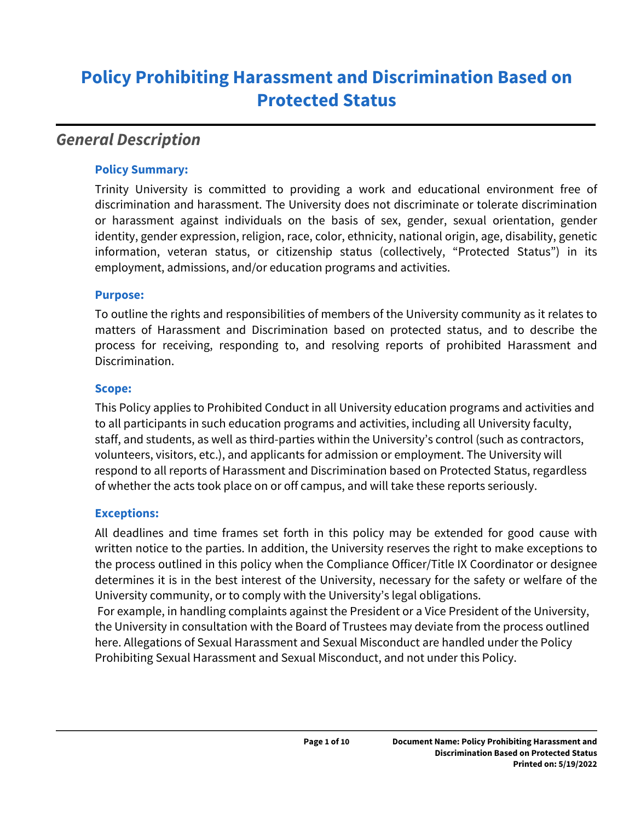# **Policy Prohibiting Harassment and Discrimination Based on Protected Status**

## *General Description*

#### **Policy Summary:**

Trinity University is committed to providing a work and educational environment free of discrimination and harassment. The University does not discriminate or tolerate discrimination or harassment against individuals on the basis of sex, gender, sexual orientation, gender identity, gender expression, religion, race, color, ethnicity, national origin, age, disability, genetic information, veteran status, or citizenship status (collectively, "Protected Status") in its employment, admissions, and/or education programs and activities.

#### **Purpose:**

To outline the rights and responsibilities of members of the University community as it relates to matters of Harassment and Discrimination based on protected status, and to describe the process for receiving, responding to, and resolving reports of prohibited Harassment and Discrimination.

#### **Scope:**

This Policy applies to Prohibited Conduct in all University education programs and activities and to all participants in such education programs and activities, including all University faculty, staff, and students, as well as third-parties within the University's control (such as contractors, volunteers, visitors, etc.), and applicants for admission or employment. The University will respond to all reports of Harassment and Discrimination based on Protected Status, regardless of whether the acts took place on or off campus, and will take these reports seriously.

#### **Exceptions:**

All deadlines and time frames set forth in this policy may be extended for good cause with written notice to the parties. In addition, the University reserves the right to make exceptions to the process outlined in this policy when the Compliance Officer/Title IX Coordinator or designee determines it is in the best interest of the University, necessary for the safety or welfare of the University community, or to comply with the University's legal obligations.

 For example, in handling complaints against the President or a Vice President of the University, the University in consultation with the Board of Trustees may deviate from the process outlined here. Allegations of Sexual Harassment and Sexual Misconduct are handled under the Policy Prohibiting Sexual Harassment and Sexual Misconduct, and not under this Policy.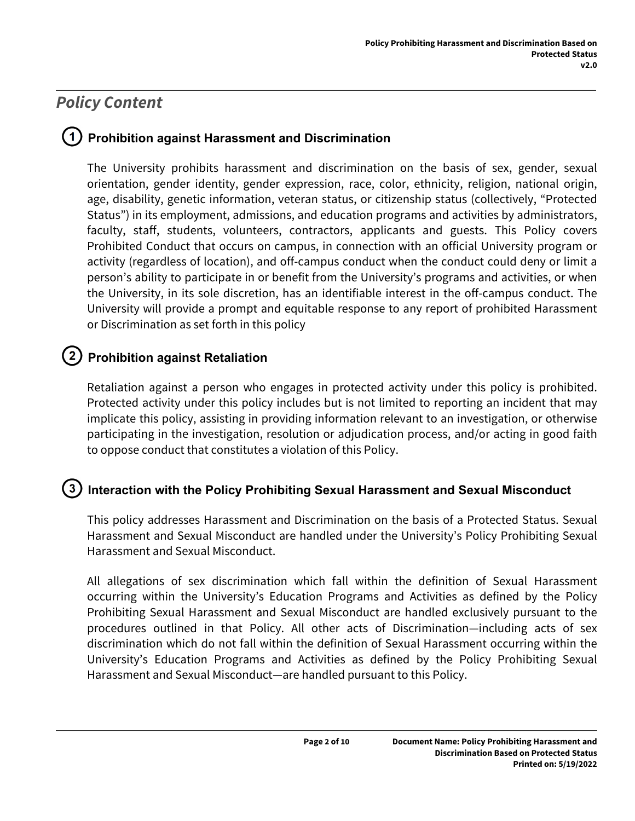## *Policy Content*

### **Prohibition against Harassment and Discrimination**

The University prohibits harassment and discrimination on the basis of sex, gender, sexual orientation, gender identity, gender expression, race, color, ethnicity, religion, national origin, age, disability, genetic information, veteran status, or citizenship status (collectively, "Protected Status") in its employment, admissions, and education programs and activities by administrators, faculty, staff, students, volunteers, contractors, applicants and guests. This Policy covers Prohibited Conduct that occurs on campus, in connection with an official University program or activity (regardless of location), and off-campus conduct when the conduct could deny or limit a person's ability to participate in or benefit from the University's programs and activities, or when the University, in its sole discretion, has an identifiable interest in the off-campus conduct. The University will provide a prompt and equitable response to any report of prohibited Harassment or Discrimination as set forth in this policy

## **Prohibition against Retaliation**

Retaliation against a person who engages in protected activity under this policy is prohibited. Protected activity under this policy includes but is not limited to reporting an incident that may implicate this policy, assisting in providing information relevant to an investigation, or otherwise participating in the investigation, resolution or adjudication process, and/or acting in good faith to oppose conduct that constitutes a violation of this Policy.

#### $\left(3\right)$  **Interaction with the Policy Prohibiting Sexual Harassment and Sexual Misconduct**

This policy addresses Harassment and Discrimination on the basis of a Protected Status. Sexual Harassment and Sexual Misconduct are handled under the University's Policy Prohibiting Sexual Harassment and Sexual Misconduct.

All allegations of sex discrimination which fall within the definition of Sexual Harassment occurring within the University's Education Programs and Activities as defined by the Policy Prohibiting Sexual Harassment and Sexual Misconduct are handled exclusively pursuant to the procedures outlined in that Policy. All other acts of Discrimination—including acts of sex discrimination which do not fall within the definition of Sexual Harassment occurring within the University's Education Programs and Activities as defined by the Policy Prohibiting Sexual Harassment and Sexual Misconduct—are handled pursuant to this Policy.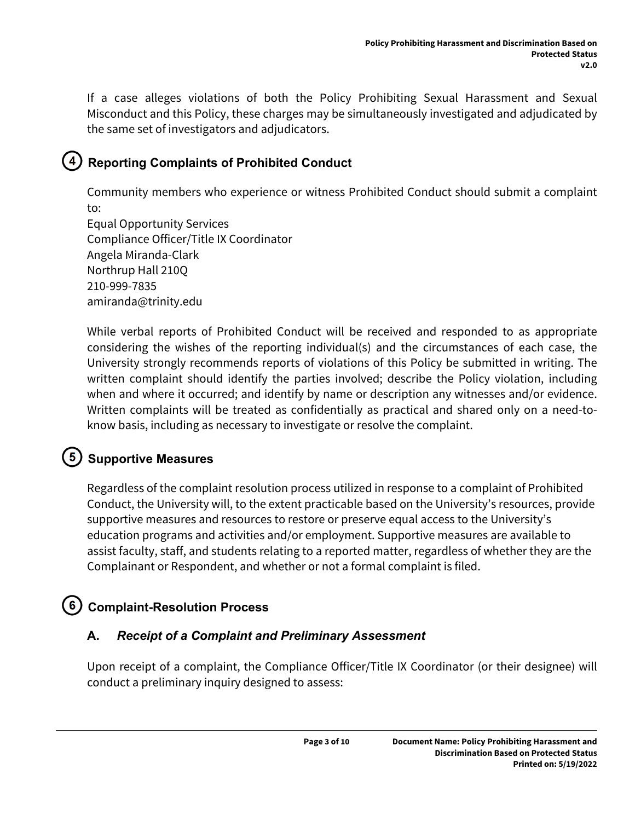If a case alleges violations of both the Policy Prohibiting Sexual Harassment and Sexual Misconduct and this Policy, these charges may be simultaneously investigated and adjudicated by the same set of investigators and adjudicators.

## **Reporting Complaints of Prohibited Conduct**

Community members who experience or witness Prohibited Conduct should submit a complaint to:

Equal Opportunity Services Compliance Officer/Title IX Coordinator Angela Miranda-Clark Northrup Hall 210Q 210-999-7835 amiranda@trinity.edu

While verbal reports of Prohibited Conduct will be received and responded to as appropriate considering the wishes of the reporting individual(s) and the circumstances of each case, the University strongly recommends reports of violations of this Policy be submitted in writing. The written complaint should identify the parties involved; describe the Policy violation, including when and where it occurred; and identify by name or description any witnesses and/or evidence. Written complaints will be treated as confidentially as practical and shared only on a need-toknow basis, including as necessary to investigate or resolve the complaint.

## **Supportive Measures**

Regardless of the complaint resolution process utilized in response to a complaint of Prohibited Conduct, the University will, to the extent practicable based on the University's resources, provide supportive measures and resources to restore or preserve equal access to the University's education programs and activities and/or employment. Supportive measures are available to assist faculty, staff, and students relating to a reported matter, regardless of whether they are the Complainant or Respondent, and whether or not a formal complaint is filed.

## **Complaint-Resolution Process**

### **A.** *Receipt of a Complaint and Preliminary Assessment*

Upon receipt of a complaint, the Compliance Officer/Title IX Coordinator (or their designee) will conduct a preliminary inquiry designed to assess: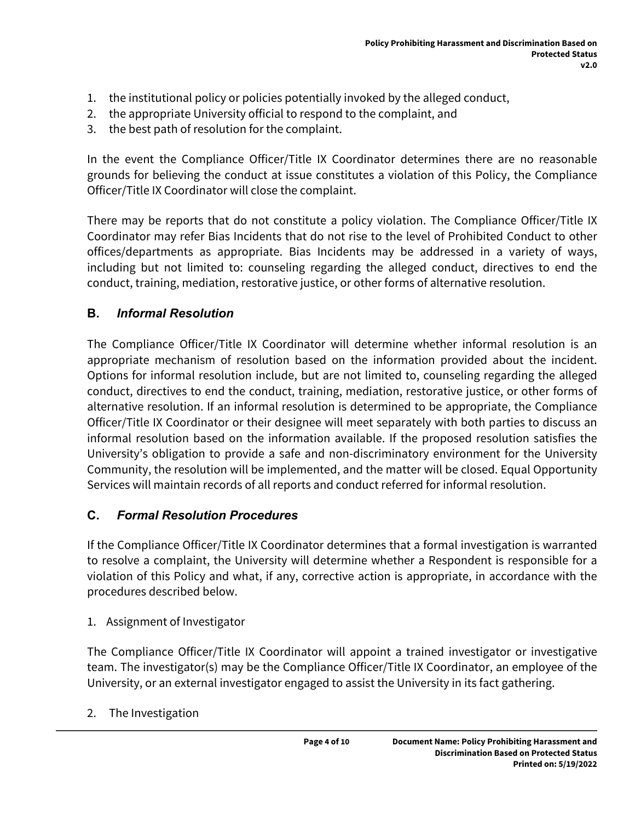- 1. the institutional policy or policies potentially invoked by the alleged conduct,
- 2. the appropriate University official to respond to the complaint, and
- 3. the best path of resolution for the complaint.

In the event the Compliance Officer/Title IX Coordinator determines there are no reasonable grounds for believing the conduct at issue constitutes a violation of this Policy, the Compliance Officer/Title IX Coordinator will close the complaint.

There may be reports that do not constitute a policy violation. The Compliance Officer/Title IX Coordinator may refer Bias Incidents that do not rise to the level of Prohibited Conduct to other offices/departments as appropriate. Bias Incidents may be addressed in a variety of ways, including but not limited to: counseling regarding the alleged conduct, directives to end the conduct, training, mediation, restorative justice, or other forms of alternative resolution.

#### **B.** *Informal Resolution*

The Compliance Officer/Title IX Coordinator will determine whether informal resolution is an appropriate mechanism of resolution based on the information provided about the incident. Options for informal resolution include, but are not limited to, counseling regarding the alleged conduct, directives to end the conduct, training, mediation, restorative justice, or other forms of alternative resolution. If an informal resolution is determined to be appropriate, the Compliance Officer/Title IX Coordinator or their designee will meet separately with both parties to discuss an informal resolution based on the information available. If the proposed resolution satisfies the University's obligation to provide a safe and non-discriminatory environment for the University Community, the resolution will be implemented, and the matter will be closed. Equal Opportunity Services will maintain records of all reports and conduct referred for informal resolution.

#### **C.** *Formal Resolution Procedures*

If the Compliance Officer/Title IX Coordinator determines that a formal investigation is warranted to resolve a complaint, the University will determine whether a Respondent is responsible for a violation of this Policy and what, if any, corrective action is appropriate, in accordance with the procedures described below.

1. Assignment of Investigator

The Compliance Officer/Title IX Coordinator will appoint a trained investigator or investigative team. The investigator(s) may be the Compliance Officer/Title IX Coordinator, an employee of the University, or an external investigator engaged to assist the University in its fact gathering.

2. The Investigation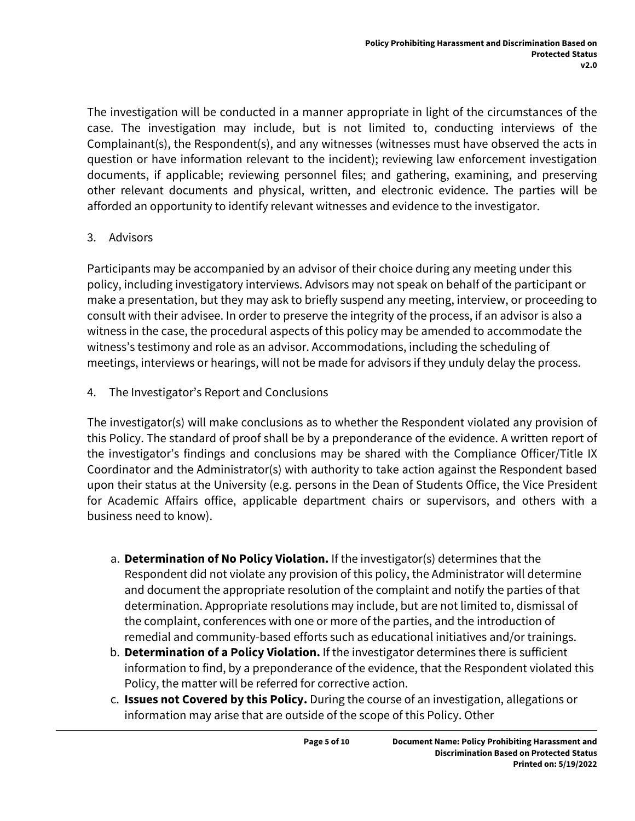The investigation will be conducted in a manner appropriate in light of the circumstances of the case. The investigation may include, but is not limited to, conducting interviews of the Complainant(s), the Respondent(s), and any witnesses (witnesses must have observed the acts in question or have information relevant to the incident); reviewing law enforcement investigation documents, if applicable; reviewing personnel files; and gathering, examining, and preserving other relevant documents and physical, written, and electronic evidence. The parties will be afforded an opportunity to identify relevant witnesses and evidence to the investigator.

#### 3. Advisors

Participants may be accompanied by an advisor of their choice during any meeting under this policy, including investigatory interviews. Advisors may not speak on behalf of the participant or make a presentation, but they may ask to briefly suspend any meeting, interview, or proceeding to consult with their advisee. In order to preserve the integrity of the process, if an advisor is also a witness in the case, the procedural aspects of this policy may be amended to accommodate the witness's testimony and role as an advisor. Accommodations, including the scheduling of meetings, interviews or hearings, will not be made for advisors if they unduly delay the process.

4. The Investigator's Report and Conclusions

The investigator(s) will make conclusions as to whether the Respondent violated any provision of this Policy. The standard of proof shall be by a preponderance of the evidence. A written report of the investigator's findings and conclusions may be shared with the Compliance Officer/Title IX Coordinator and the Administrator(s) with authority to take action against the Respondent based upon their status at the University (e.g. persons in the Dean of Students Office, the Vice President for Academic Affairs office, applicable department chairs or supervisors, and others with a business need to know).

- a. **Determination of No Policy Violation.** If the investigator(s) determines that the Respondent did not violate any provision of this policy, the Administrator will determine and document the appropriate resolution of the complaint and notify the parties of that determination. Appropriate resolutions may include, but are not limited to, dismissal of the complaint, conferences with one or more of the parties, and the introduction of remedial and community-based efforts such as educational initiatives and/or trainings.
- b. **Determination of a Policy Violation.** If the investigator determines there is sufficient information to find, by a preponderance of the evidence, that the Respondent violated this Policy, the matter will be referred for corrective action.
- c. **Issues not Covered by this Policy.** During the course of an investigation, allegations or information may arise that are outside of the scope of this Policy. Other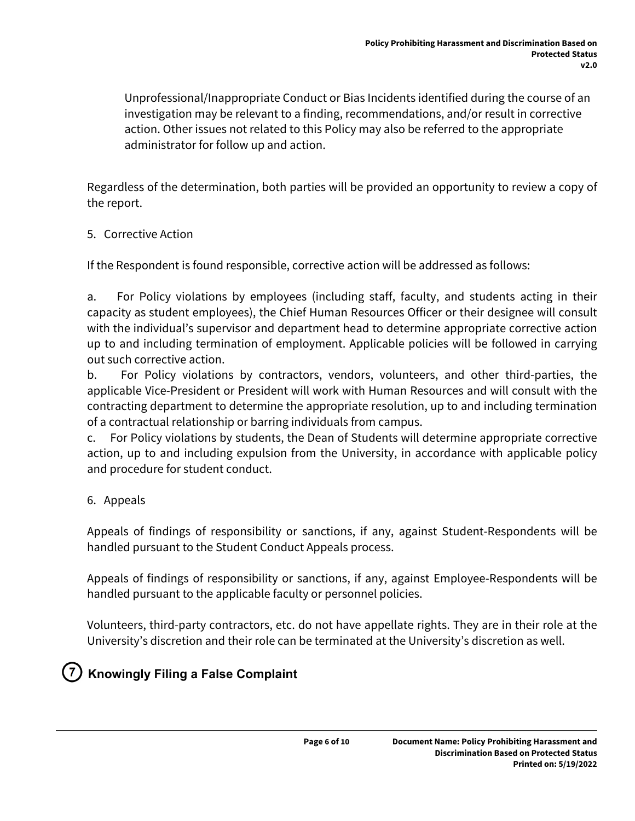Unprofessional/Inappropriate Conduct or Bias Incidents identified during the course of an investigation may be relevant to a finding, recommendations, and/or result in corrective action. Other issues not related to this Policy may also be referred to the appropriate administrator for follow up and action.

Regardless of the determination, both parties will be provided an opportunity to review a copy of the report.

#### 5. Corrective Action

If the Respondent is found responsible, corrective action will be addressed as follows:

a. For Policy violations by employees (including staff, faculty, and students acting in their capacity as student employees), the Chief Human Resources Officer or their designee will consult with the individual's supervisor and department head to determine appropriate corrective action up to and including termination of employment. Applicable policies will be followed in carrying out such corrective action.

b. For Policy violations by contractors, vendors, volunteers, and other third-parties, the applicable Vice-President or President will work with Human Resources and will consult with the contracting department to determine the appropriate resolution, up to and including termination of a contractual relationship or barring individuals from campus.

c. For Policy violations by students, the Dean of Students will determine appropriate corrective action, up to and including expulsion from the University, in accordance with applicable policy and procedure for student conduct.

#### 6. Appeals

Appeals of findings of responsibility or sanctions, if any, against Student-Respondents will be handled pursuant to the Student Conduct Appeals process.

Appeals of findings of responsibility or sanctions, if any, against Employee-Respondents will be handled pursuant to the applicable faculty or personnel policies.

Volunteers, third-party contractors, etc. do not have appellate rights. They are in their role at the University's discretion and their role can be terminated at the University's discretion as well.

### **Knowingly Filing a False Complaint**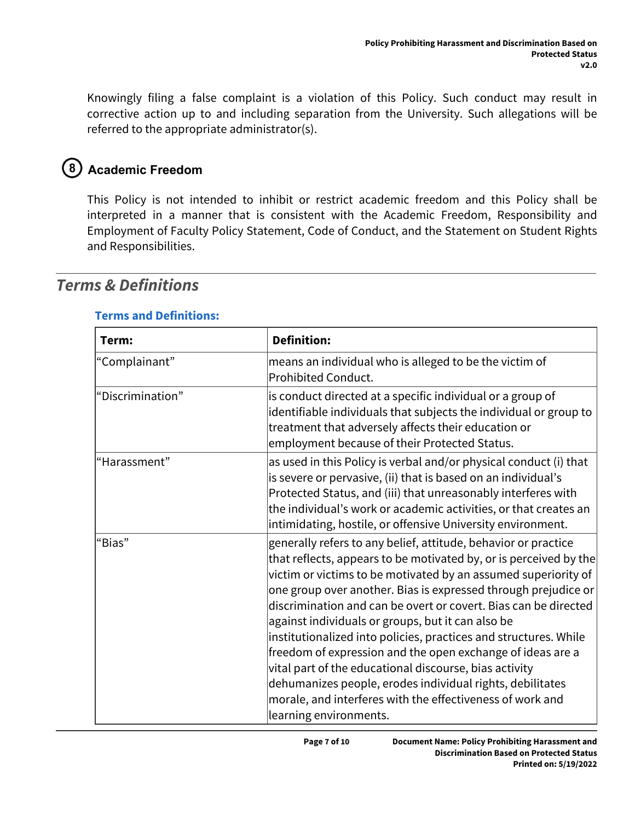Knowingly filing a false complaint is a violation of this Policy. Such conduct may result in corrective action up to and including separation from the University. Such allegations will be referred to the appropriate administrator(s).

## **Academic Freedom**

This Policy is not intended to inhibit or restrict academic freedom and this Policy shall be interpreted in a manner that is consistent with the Academic Freedom, Responsibility and Employment of Faculty Policy Statement, Code of Conduct, and the Statement on Student Rights and Responsibilities.

| Term:            | <b>Definition:</b>                                                                                                                                                                                                                                                                                                                                                                                                                                                                                                                                                                                                                                                                                                                              |
|------------------|-------------------------------------------------------------------------------------------------------------------------------------------------------------------------------------------------------------------------------------------------------------------------------------------------------------------------------------------------------------------------------------------------------------------------------------------------------------------------------------------------------------------------------------------------------------------------------------------------------------------------------------------------------------------------------------------------------------------------------------------------|
| "Complainant"    | means an individual who is alleged to be the victim of<br>Prohibited Conduct.                                                                                                                                                                                                                                                                                                                                                                                                                                                                                                                                                                                                                                                                   |
| "Discrimination" | is conduct directed at a specific individual or a group of<br>identifiable individuals that subjects the individual or group to<br>treatment that adversely affects their education or<br>employment because of their Protected Status.                                                                                                                                                                                                                                                                                                                                                                                                                                                                                                         |
| "Harassment"     | as used in this Policy is verbal and/or physical conduct (i) that<br>is severe or pervasive, (ii) that is based on an individual's<br>Protected Status, and (iii) that unreasonably interferes with<br>the individual's work or academic activities, or that creates an<br>intimidating, hostile, or offensive University environment.                                                                                                                                                                                                                                                                                                                                                                                                          |
| "Bias"           | generally refers to any belief, attitude, behavior or practice<br>that reflects, appears to be motivated by, or is perceived by the<br>victim or victims to be motivated by an assumed superiority of<br>one group over another. Bias is expressed through prejudice or<br>discrimination and can be overt or covert. Bias can be directed<br>against individuals or groups, but it can also be<br>institutionalized into policies, practices and structures. While<br>freedom of expression and the open exchange of ideas are a<br>vital part of the educational discourse, bias activity<br>dehumanizes people, erodes individual rights, debilitates<br>morale, and interferes with the effectiveness of work and<br>learning environments. |

## *Terms & Definitions*

#### **Terms and Definitions:**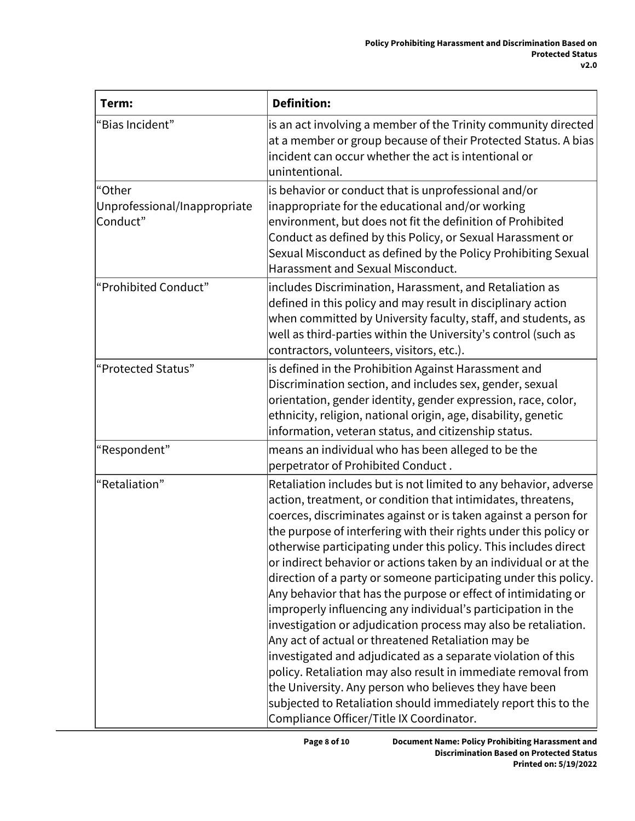| Term:                                              | <b>Definition:</b>                                                                                                                                                                                                                                                                                                                                                                                                                                                                                                                                                                                                                                                                                                                                                                                                                                                                                                                                                                                                                                     |  |  |
|----------------------------------------------------|--------------------------------------------------------------------------------------------------------------------------------------------------------------------------------------------------------------------------------------------------------------------------------------------------------------------------------------------------------------------------------------------------------------------------------------------------------------------------------------------------------------------------------------------------------------------------------------------------------------------------------------------------------------------------------------------------------------------------------------------------------------------------------------------------------------------------------------------------------------------------------------------------------------------------------------------------------------------------------------------------------------------------------------------------------|--|--|
| "Bias Incident"                                    | is an act involving a member of the Trinity community directed<br>at a member or group because of their Protected Status. A bias<br>incident can occur whether the act is intentional or<br>unintentional.                                                                                                                                                                                                                                                                                                                                                                                                                                                                                                                                                                                                                                                                                                                                                                                                                                             |  |  |
| "Other<br>Unprofessional/Inappropriate<br>Conduct" | is behavior or conduct that is unprofessional and/or<br>inappropriate for the educational and/or working<br>environment, but does not fit the definition of Prohibited<br>Conduct as defined by this Policy, or Sexual Harassment or<br>Sexual Misconduct as defined by the Policy Prohibiting Sexual<br>Harassment and Sexual Misconduct.                                                                                                                                                                                                                                                                                                                                                                                                                                                                                                                                                                                                                                                                                                             |  |  |
| "Prohibited Conduct"                               | includes Discrimination, Harassment, and Retaliation as<br>defined in this policy and may result in disciplinary action<br>when committed by University faculty, staff, and students, as<br>well as third-parties within the University's control (such as<br>contractors, volunteers, visitors, etc.).                                                                                                                                                                                                                                                                                                                                                                                                                                                                                                                                                                                                                                                                                                                                                |  |  |
| "Protected Status"                                 | is defined in the Prohibition Against Harassment and<br>Discrimination section, and includes sex, gender, sexual<br>orientation, gender identity, gender expression, race, color,<br>ethnicity, religion, national origin, age, disability, genetic<br>information, veteran status, and citizenship status.                                                                                                                                                                                                                                                                                                                                                                                                                                                                                                                                                                                                                                                                                                                                            |  |  |
| "Respondent"                                       | means an individual who has been alleged to be the<br>perpetrator of Prohibited Conduct.                                                                                                                                                                                                                                                                                                                                                                                                                                                                                                                                                                                                                                                                                                                                                                                                                                                                                                                                                               |  |  |
| "Retaliation"                                      | Retaliation includes but is not limited to any behavior, adverse<br>action, treatment, or condition that intimidates, threatens,<br>coerces, discriminates against or is taken against a person for<br>the purpose of interfering with their rights under this policy or<br>otherwise participating under this policy. This includes direct<br>or indirect behavior or actions taken by an individual or at the<br>direction of a party or someone participating under this policy.<br>Any behavior that has the purpose or effect of intimidating or<br>improperly influencing any individual's participation in the<br>investigation or adjudication process may also be retaliation.<br>Any act of actual or threatened Retaliation may be<br>investigated and adjudicated as a separate violation of this<br>policy. Retaliation may also result in immediate removal from<br>the University. Any person who believes they have been<br>subjected to Retaliation should immediately report this to the<br>Compliance Officer/Title IX Coordinator. |  |  |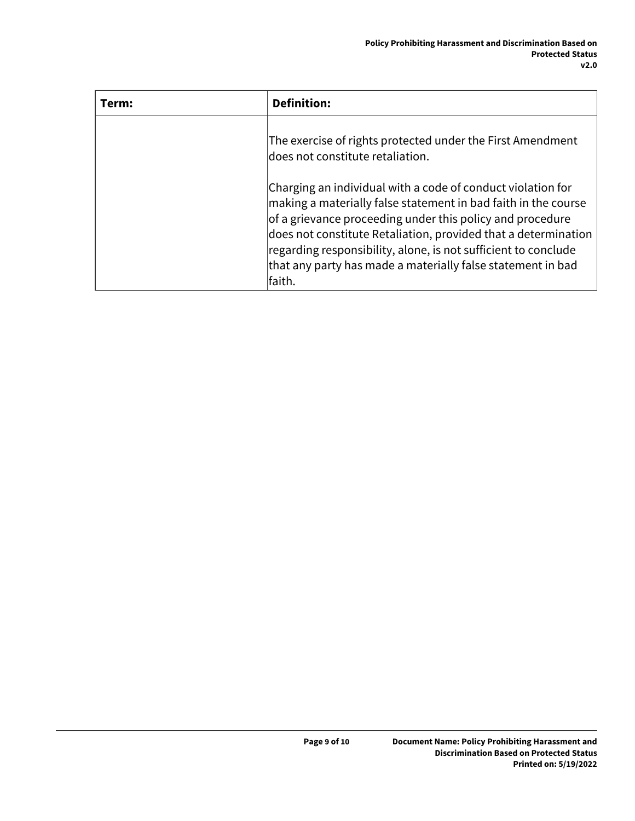| Term: | <b>Definition:</b>                                                                                                                                                                                                                                                                                                                                                                                               |
|-------|------------------------------------------------------------------------------------------------------------------------------------------------------------------------------------------------------------------------------------------------------------------------------------------------------------------------------------------------------------------------------------------------------------------|
|       | The exercise of rights protected under the First Amendment<br>$\vert$ does not constitute retaliation.                                                                                                                                                                                                                                                                                                           |
|       | Charging an individual with a code of conduct violation for<br>$ $ making a materially false statement in bad faith in the course<br>of a grievance proceeding under this policy and procedure<br>does not constitute Retaliation, provided that a determination<br>$ $ regarding responsibility, alone, is not sufficient to conclude<br>that any party has made a materially false statement in bad<br>lfaith. |